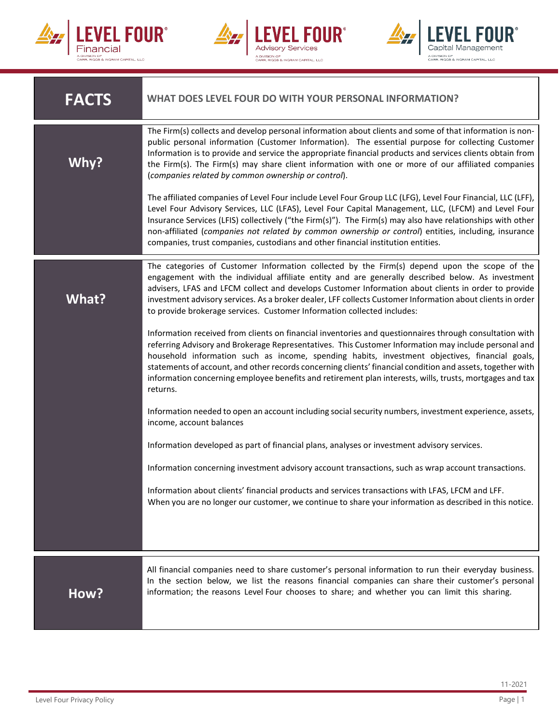





| <b>FACTS</b> | WHAT DOES LEVEL FOUR DO WITH YOUR PERSONAL INFORMATION?                                                                                                                                                                                                                                                                                                                                                                                                                                                                                                 |
|--------------|---------------------------------------------------------------------------------------------------------------------------------------------------------------------------------------------------------------------------------------------------------------------------------------------------------------------------------------------------------------------------------------------------------------------------------------------------------------------------------------------------------------------------------------------------------|
| Why?         | The Firm(s) collects and develop personal information about clients and some of that information is non-<br>public personal information (Customer Information). The essential purpose for collecting Customer<br>Information is to provide and service the appropriate financial products and services clients obtain from<br>the Firm(s). The Firm(s) may share client information with one or more of our affiliated companies<br>(companies related by common ownership or control).                                                                 |
|              | The affiliated companies of Level Four include Level Four Group LLC (LFG), Level Four Financial, LLC (LFF),<br>Level Four Advisory Services, LLC (LFAS), Level Four Capital Management, LLC, (LFCM) and Level Four<br>Insurance Services (LFIS) collectively ("the Firm(s)"). The Firm(s) may also have relationships with other<br>non-affiliated (companies not related by common ownership or control) entities, including, insurance<br>companies, trust companies, custodians and other financial institution entities.                            |
| What?        | The categories of Customer Information collected by the Firm(s) depend upon the scope of the<br>engagement with the individual affiliate entity and are generally described below. As investment<br>advisers, LFAS and LFCM collect and develops Customer Information about clients in order to provide<br>investment advisory services. As a broker dealer, LFF collects Customer Information about clients in order<br>to provide brokerage services. Customer Information collected includes:                                                        |
|              | Information received from clients on financial inventories and questionnaires through consultation with<br>referring Advisory and Brokerage Representatives. This Customer Information may include personal and<br>household information such as income, spending habits, investment objectives, financial goals,<br>statements of account, and other records concerning clients' financial condition and assets, together with<br>information concerning employee benefits and retirement plan interests, wills, trusts, mortgages and tax<br>returns. |
|              | Information needed to open an account including social security numbers, investment experience, assets,<br>income, account balances                                                                                                                                                                                                                                                                                                                                                                                                                     |
|              | Information developed as part of financial plans, analyses or investment advisory services.                                                                                                                                                                                                                                                                                                                                                                                                                                                             |
|              | Information concerning investment advisory account transactions, such as wrap account transactions.                                                                                                                                                                                                                                                                                                                                                                                                                                                     |
|              | Information about clients' financial products and services transactions with LFAS, LFCM and LFF.<br>When you are no longer our customer, we continue to share your information as described in this notice.                                                                                                                                                                                                                                                                                                                                             |
|              |                                                                                                                                                                                                                                                                                                                                                                                                                                                                                                                                                         |
| How?         | All financial companies need to share customer's personal information to run their everyday business.<br>In the section below, we list the reasons financial companies can share their customer's personal<br>information; the reasons Level Four chooses to share; and whether you can limit this sharing.                                                                                                                                                                                                                                             |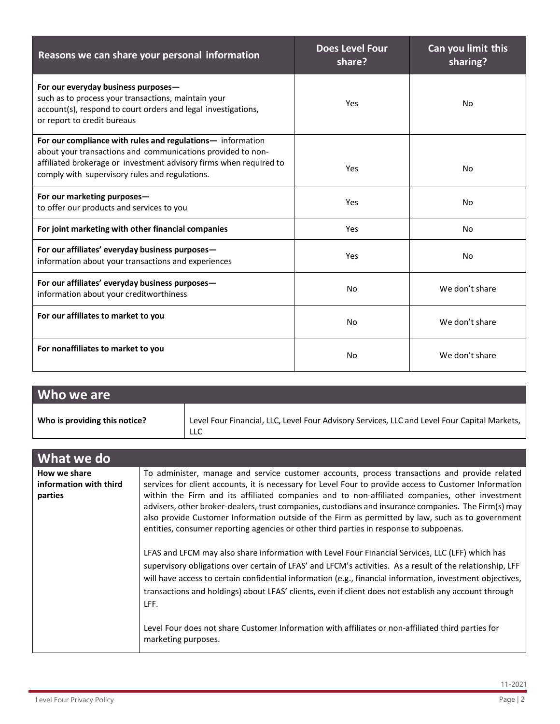| Reasons we can share your personal information                                                                                                                                                                                                    | <b>Does Level Four</b><br>share? | Can you limit this<br>sharing? |
|---------------------------------------------------------------------------------------------------------------------------------------------------------------------------------------------------------------------------------------------------|----------------------------------|--------------------------------|
| For our everyday business purposes-<br>such as to process your transactions, maintain your<br>account(s), respond to court orders and legal investigations,<br>or report to credit bureaus                                                        | Yes                              | <b>No</b>                      |
| For our compliance with rules and regulations- information<br>about your transactions and communications provided to non-<br>affiliated brokerage or investment advisory firms when required to<br>comply with supervisory rules and regulations. | Yes                              | <b>No</b>                      |
| For our marketing purposes-<br>to offer our products and services to you                                                                                                                                                                          | Yes                              | <b>No</b>                      |
| For joint marketing with other financial companies                                                                                                                                                                                                | Yes                              | No.                            |
| For our affiliates' everyday business purposes-<br>information about your transactions and experiences                                                                                                                                            | Yes                              | <b>No</b>                      |
| For our affiliates' everyday business purposes-<br>information about your creditworthiness                                                                                                                                                        | N <sub>o</sub>                   | We don't share                 |
| For our affiliates to market to you                                                                                                                                                                                                               | N <sub>o</sub>                   | We don't share                 |
| For nonaffiliates to market to you                                                                                                                                                                                                                | No                               | We don't share                 |

| Who we are                    |                                                                                                     |
|-------------------------------|-----------------------------------------------------------------------------------------------------|
| Who is providing this notice? | Level Four Financial, LLC, Level Four Advisory Services, LLC and Level Four Capital Markets,<br>LLC |

| What we do                                        |                                                                                                                                                                                                                                                                                                                                                                                                                                                                                                                                                                                                                 |
|---------------------------------------------------|-----------------------------------------------------------------------------------------------------------------------------------------------------------------------------------------------------------------------------------------------------------------------------------------------------------------------------------------------------------------------------------------------------------------------------------------------------------------------------------------------------------------------------------------------------------------------------------------------------------------|
| How we share<br>information with third<br>parties | To administer, manage and service customer accounts, process transactions and provide related<br>services for client accounts, it is necessary for Level Four to provide access to Customer Information<br>within the Firm and its affiliated companies and to non-affiliated companies, other investment<br>advisers, other broker-dealers, trust companies, custodians and insurance companies. The Firm(s) may<br>also provide Customer Information outside of the Firm as permitted by law, such as to government<br>entities, consumer reporting agencies or other third parties in response to subpoenas. |
|                                                   | LFAS and LFCM may also share information with Level Four Financial Services, LLC (LFF) which has<br>supervisory obligations over certain of LFAS' and LFCM's activities. As a result of the relationship, LFF<br>will have access to certain confidential information (e.g., financial information, investment objectives,<br>transactions and holdings) about LFAS' clients, even if client does not establish any account through<br>LFF.<br>Level Four does not share Customer Information with affiliates or non-affiliated third parties for<br>marketing purposes.                                        |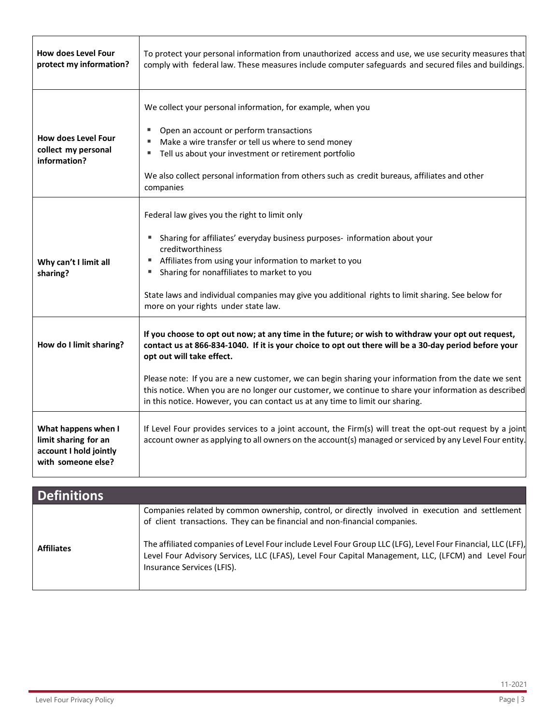| <b>How does Level Four</b><br>protect my information?                                       | To protect your personal information from unauthorized access and use, we use security measures that<br>comply with federal law. These measures include computer safeguards and secured files and buildings.                                                                                                                                                                                                                                                                                                                             |  |
|---------------------------------------------------------------------------------------------|------------------------------------------------------------------------------------------------------------------------------------------------------------------------------------------------------------------------------------------------------------------------------------------------------------------------------------------------------------------------------------------------------------------------------------------------------------------------------------------------------------------------------------------|--|
| <b>How does Level Four</b><br>collect my personal<br>information?                           | We collect your personal information, for example, when you<br>Open an account or perform transactions<br>٠<br>Make a wire transfer or tell us where to send money<br>Tell us about your investment or retirement portfolio<br>We also collect personal information from others such as credit bureaus, affiliates and other<br>companies                                                                                                                                                                                                |  |
| Why can't I limit all<br>sharing?                                                           | Federal law gives you the right to limit only<br>Sharing for affiliates' everyday business purposes- information about your<br>creditworthiness<br>Affiliates from using your information to market to you<br>Sharing for nonaffiliates to market to you<br>State laws and individual companies may give you additional rights to limit sharing. See below for<br>more on your rights under state law.                                                                                                                                   |  |
| How do I limit sharing?                                                                     | If you choose to opt out now; at any time in the future; or wish to withdraw your opt out request,<br>contact us at 866-834-1040. If it is your choice to opt out there will be a 30-day period before your<br>opt out will take effect.<br>Please note: If you are a new customer, we can begin sharing your information from the date we sent<br>this notice. When you are no longer our customer, we continue to share your information as described<br>in this notice. However, you can contact us at any time to limit our sharing. |  |
| What happens when I<br>limit sharing for an<br>account I hold jointly<br>with someone else? | If Level Four provides services to a joint account, the Firm(s) will treat the opt-out request by a joint<br>account owner as applying to all owners on the account(s) managed or serviced by any Level Four entity.                                                                                                                                                                                                                                                                                                                     |  |

| <b>Definitions</b> |                                                                                                                                                                                                                                                                                                                                                                                                                                    |
|--------------------|------------------------------------------------------------------------------------------------------------------------------------------------------------------------------------------------------------------------------------------------------------------------------------------------------------------------------------------------------------------------------------------------------------------------------------|
| <b>Affiliates</b>  | Companies related by common ownership, control, or directly involved in execution and settlement<br>of client transactions. They can be financial and non-financial companies.<br>The affiliated companies of Level Four include Level Four Group LLC (LFG), Level Four Financial, LLC (LFF),<br>Level Four Advisory Services, LLC (LFAS), Level Four Capital Management, LLC, (LFCM) and Level Four<br>Insurance Services (LFIS). |